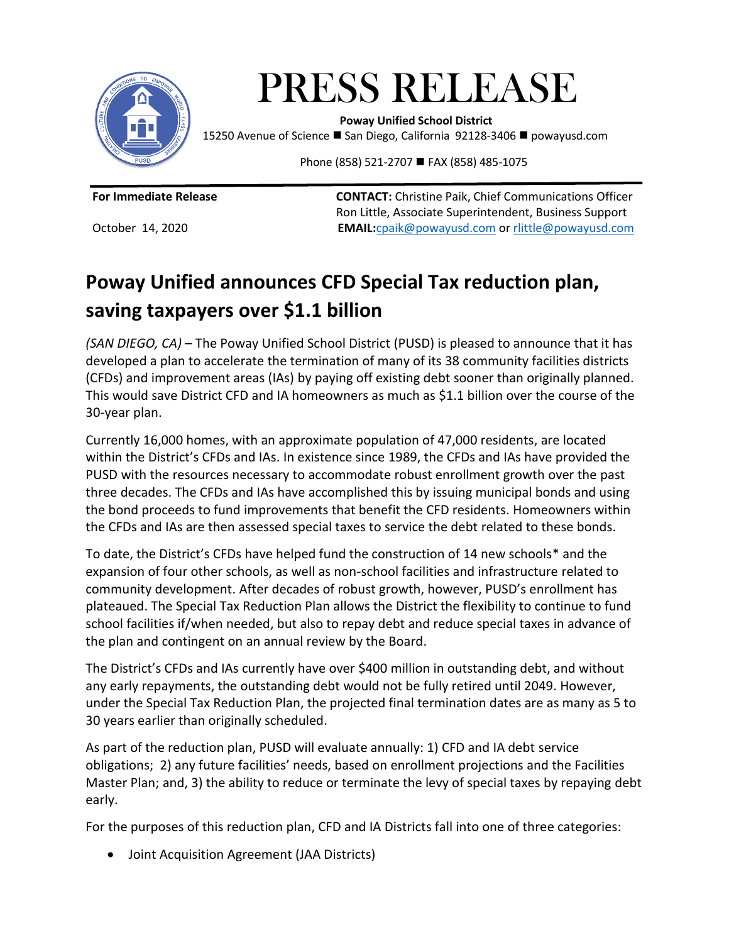

PRESS RELEASE **EXECUTE 2019 10 12 2019 11:**<br>Poway Unified School District

15250 Avenue of Science ■ San Diego, California 92128-3406 ■ powayusd.com

Phone (858) 521-2707 ■ FAX (858) 485-1075

**For Immediate Release CONTACT:** Christine Paik, Chief Communications Officer Ron Little, Associate Superintendent, Business Support October 14, 2020 **EMAIL:**[cpaik@powayusd.com](mailto:cpaik@powayusd.com) or [rlittle@powayusd.com](mailto:rlittle@powayusd.com)

# **Poway Unified announces CFD Special Tax reduction plan, saving taxpayers over \$1.1 billion**

*(SAN DIEGO, CA)* – The Poway Unified School District (PUSD) is pleased to announce that it has developed a plan to accelerate the termination of many of its 38 community facilities districts (CFDs) and improvement areas (IAs) by paying off existing debt sooner than originally planned. This would save District CFD and IA homeowners as much as \$1.1 billion over the course of the 30-year plan.

Currently 16,000 homes, with an approximate population of 47,000 residents, are located within the District's CFDs and IAs. In existence since 1989, the CFDs and IAs have provided the PUSD with the resources necessary to accommodate robust enrollment growth over the past three decades. The CFDs and IAs have accomplished this by issuing municipal bonds and using the bond proceeds to fund improvements that benefit the CFD residents. Homeowners within the CFDs and IAs are then assessed special taxes to service the debt related to these bonds.

To date, the District's CFDs have helped fund the construction of 14 new schools\* and the expansion of four other schools, as well as non-school facilities and infrastructure related to community development. After decades of robust growth, however, PUSD's enrollment has plateaued. The Special Tax Reduction Plan allows the District the flexibility to continue to fund school facilities if/when needed, but also to repay debt and reduce special taxes in advance of the plan and contingent on an annual review by the Board.

The District's CFDs and IAs currently have over \$400 million in outstanding debt, and without any early repayments, the outstanding debt would not be fully retired until 2049. However, under the Special Tax Reduction Plan, the projected final termination dates are as many as 5 to 30 years earlier than originally scheduled.

As part of the reduction plan, PUSD will evaluate annually: 1) CFD and IA debt service obligations; 2) any future facilities' needs, based on enrollment projections and the Facilities Master Plan; and, 3) the ability to reduce or terminate the levy of special taxes by repaying debt early.

For the purposes of this reduction plan, CFD and IA Districts fall into one of three categories:

Joint Acquisition Agreement (JAA Districts)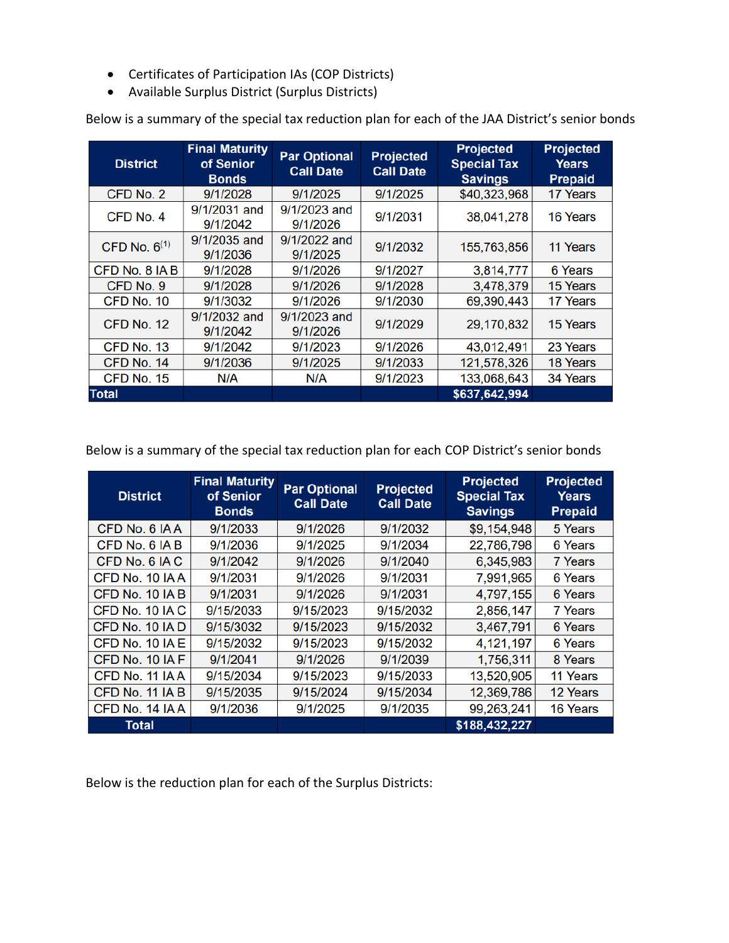- Certificates of Participation IAs (COP Districts)
- Available Surplus District (Surplus Districts)

| <b>District</b>   | <b>Final Maturity</b><br>of Senior<br><b>Bonds</b> | <b>Par Optional</b><br><b>Call Date</b> | <b>Projected</b><br><b>Call Date</b> | <b>Projected</b><br><b>Special Tax</b><br><b>Savings</b> | <b>Projected</b><br><b>Years</b><br><b>Prepaid</b> |
|-------------------|----------------------------------------------------|-----------------------------------------|--------------------------------------|----------------------------------------------------------|----------------------------------------------------|
| CFD No. 2         | 9/1/2028                                           | 9/1/2025                                | 9/1/2025                             | \$40,323,968                                             | 17 Years                                           |
| CFD No. 4         | 9/1/2031 and<br>9/1/2042                           | 9/1/2023 and<br>9/1/2026                | 9/1/2031                             | 38,041,278                                               | 16 Years                                           |
| CFD No. $6^{(1)}$ | 9/1/2035 and<br>9/1/2036                           | 9/1/2022 and<br>9/1/2025                | 9/1/2032                             | 155,763,856                                              | 11 Years                                           |
| CFD No. 8 IA B    | 9/1/2028                                           | 9/1/2026                                | 9/1/2027                             | 3,814,777                                                | 6 Years                                            |
| CFD No. 9         | 9/1/2028                                           | 9/1/2026                                | 9/1/2028                             | 3,478,379                                                | 15 Years                                           |
| CFD No. 10        | 9/1/3032                                           | 9/1/2026                                | 9/1/2030                             | 69,390,443                                               | 17 Years                                           |
| CFD No. 12        | 9/1/2032 and<br>9/1/2042                           | 9/1/2023 and<br>9/1/2026                | 9/1/2029                             | 29,170,832                                               | 15 Years                                           |
| CFD No. 13        | 9/1/2042                                           | 9/1/2023                                | 9/1/2026                             | 43,012,491                                               | 23 Years                                           |
| CFD No. 14        | 9/1/2036                                           | 9/1/2025                                | 9/1/2033                             | 121,578,326                                              | 18 Years                                           |
| CFD No. 15        | N/A                                                | N/A                                     | 9/1/2023                             | 133,068,643                                              | 34 Years                                           |
| <b>Total</b>      |                                                    |                                         |                                      | \$637,642,994                                            |                                                    |

Below is a summary of the special tax reduction plan for each of the JAA District's senior bonds

Below is a summary of the special tax reduction plan for each COP District's senior bonds

| <b>District</b> | <b>Final Maturity</b><br>of Senior<br><b>Bonds</b> | <b>Par Optional</b><br><b>Call Date</b> | <b>Projected</b><br><b>Call Date</b> | <b>Projected</b><br><b>Special Tax</b><br><b>Savings</b> | <b>Projected</b><br><b>Years</b><br><b>Prepaid</b> |
|-----------------|----------------------------------------------------|-----------------------------------------|--------------------------------------|----------------------------------------------------------|----------------------------------------------------|
| CFD No. 6 IAA   | 9/1/2033                                           | 9/1/2026                                | 9/1/2032                             | \$9,154,948                                              | 5 Years                                            |
| CFD No. 6 IA B  | 9/1/2036                                           | 9/1/2025                                | 9/1/2034                             | 22,786,798                                               | 6 Years                                            |
| CFD No. 6 IAC   | 9/1/2042                                           | 9/1/2026                                | 9/1/2040                             | 6,345,983                                                | 7 Years                                            |
| CFD No. 10 IA A | 9/1/2031                                           | 9/1/2026                                | 9/1/2031                             | 7,991,965                                                | 6 Years                                            |
| CFD No. 10 IA B | 9/1/2031                                           | 9/1/2026                                | 9/1/2031                             | 4,797,155                                                | 6 Years                                            |
| CFD No. 10 IA C | 9/15/2033                                          | 9/15/2023                               | 9/15/2032                            | 2,856,147                                                | 7 Years                                            |
| CFD No. 10 IA D | 9/15/3032                                          | 9/15/2023                               | 9/15/2032                            | 3,467,791                                                | 6 Years                                            |
| CFD No. 10 IA E | 9/15/2032                                          | 9/15/2023                               | 9/15/2032                            | 4,121,197                                                | 6 Years                                            |
| CFD No. 10 IA F | 9/1/2041                                           | 9/1/2026                                | 9/1/2039                             | 1,756,311                                                | 8 Years                                            |
| CFD No. 11 IAA  | 9/15/2034                                          | 9/15/2023                               | 9/15/2033                            | 13,520,905                                               | 11 Years                                           |
| CFD No. 11 IA B | 9/15/2035                                          | 9/15/2024                               | 9/15/2034                            | 12,369,786                                               | 12 Years                                           |
| CFD No. 14 IAA  | 9/1/2036                                           | 9/1/2025                                | 9/1/2035                             | 99,263,241                                               | 16 Years                                           |
| <b>Total</b>    |                                                    |                                         |                                      | \$188,432,227                                            |                                                    |

Below is the reduction plan for each of the Surplus Districts: